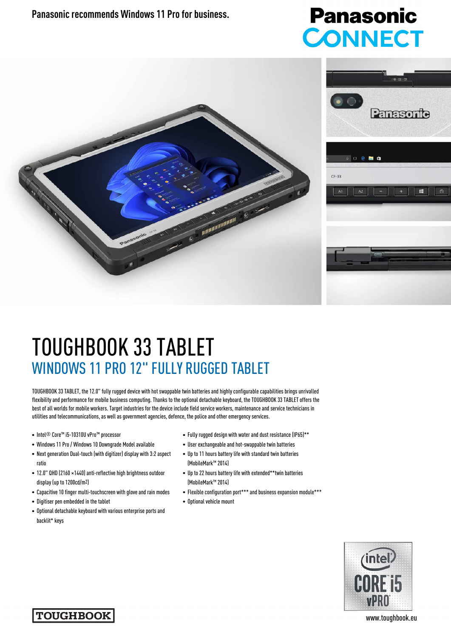**Panasonic recommends Windows 11 Pro for business.** 

## **Panasonic CONNECT**



## TOUGHBOOK 33 TABLET WINDOWS 11 PRO 12" FULLY RUGGED TABLET

TOUGHBOOK 33 TABLET, the 12.0" fully rugged device with hot swappable twin batteries and highly configurable capabilities brings unrivalled flexibility and performance for mobile business computing. Thanks to the optional detachable keyboard, the TOUGHBOOK 33 TABLET offers the best of all worlds for mobile workers. Target industries for the device include field service workers, maintenance and service technicians in utilities and telecommunications, as well as government agencies, defence, the police and other emergency services.

- Intel® Core™ i5-10310U vPro™ processor
- Windows 11 Pro / Windows 10 Downgrade Model available
- Next generation Dual-touch (with digitizer) display with 3:2 aspect ratio
- 12.0" QHD (2160 ×1440) anti-reflective high brightness outdoor display (up to 1200cd/m2)
- Capacitive 10 finger multi-touchscreen with glove and rain modes
- Digitiser pen embedded in the tablet
- Optional detachable keyboard with various enterprise ports and backlit\* keys
- Fully rugged design with water and dust resistance (IP65)\*\*
- User exchangeable and hot-swappable twin batteries
- Up to 11 hours battery life with standard twin batteries (MobileMark™ 2014)
- Up to 22 hours battery life with extended\*\*twin batteries (MobileMark™ 2014)
- Flexible configuration port\*\*\* and business expansion module\*\*\*
- Optional vehicle mount



**TOUGHBOOK**